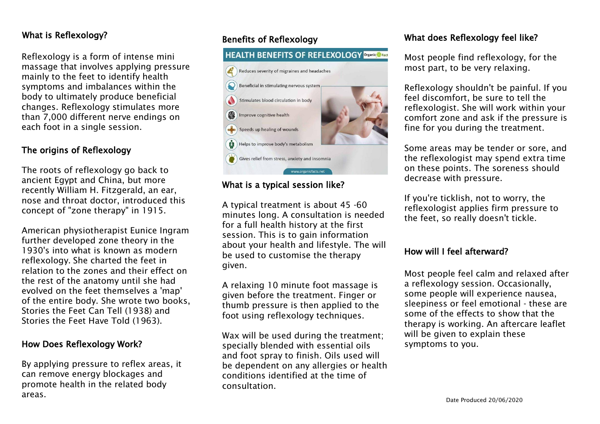## What is Reflexology?

Reflexology is a form of intense mini massage that involves applying pressure mainly to the feet to identify health symptoms and imbalances within the body to ultimately produce beneficial changes. Reflexology stimulates more than 7,000 different nerve endings on each foot in a single session.

## The origins of Reflexology

The roots of reflexology go back to ancient Egypt and China, but more recently William H. Fitzgerald, an ear, nose and throat doctor, introduced this concept of "zone therapy" in 1915.

American physiotherapist Eunice Ingram further developed zone theory in the 1930's into what is known as modern reflexology. She charted the feet in relation to the zones and their effect on the rest of the anatomy until she had evolved on the feet themselves a 'map' of the entire body. She wrote two books, Stories the Feet Can Tell (1938) and Stories the Feet Have Told (1963).

## How Does Reflexology Work?

By applying pressure to reflex areas, it can remove energy blockages and promote health in the related body areas.

## Benefits of Reflexology

## **HEALTH BENEFITS OF REFLEXOLOGY Organics Fact**



## What is a typical session like?

A typical treatment is about 45 -60 minutes long. A consultation is needed for a full health history at the first session. This is to gain information about your health and lifestyle. The will be used to customise the therapy given.

A relaxing 10 minute foot massage is given before the treatment. Finger or thumb pressure is then applied to the foot using reflexology techniques.

Wax will be used during the treatment; specially blended with essential oils and foot spray to finish. Oils used will be dependent on any allergies or health conditions identified at the time of consultation.

### What does Reflexology feel like?

Most people find reflexology, for the most part, to be very relaxing.

Reflexology shouldn't be painful. If you feel discomfort, be sure to tell the reflexologist. She will work within your comfort zone and ask if the pressure is fine for you during the treatment.

Some areas may be tender or sore, and the reflexologist may spend extra time on these points. The soreness should decrease with pressure.

If you're ticklish, not to worry, the reflexologist applies firm pressure to the feet, so really doesn't tickle.

#### How will I feel afterward?

Most people feel calm and relaxed after a reflexology session. Occasionally, some people will experience nausea, sleepiness or feel emotional - these are some of the effects to show that the therapy is working. An aftercare leaflet will be given to explain these symptoms to you.